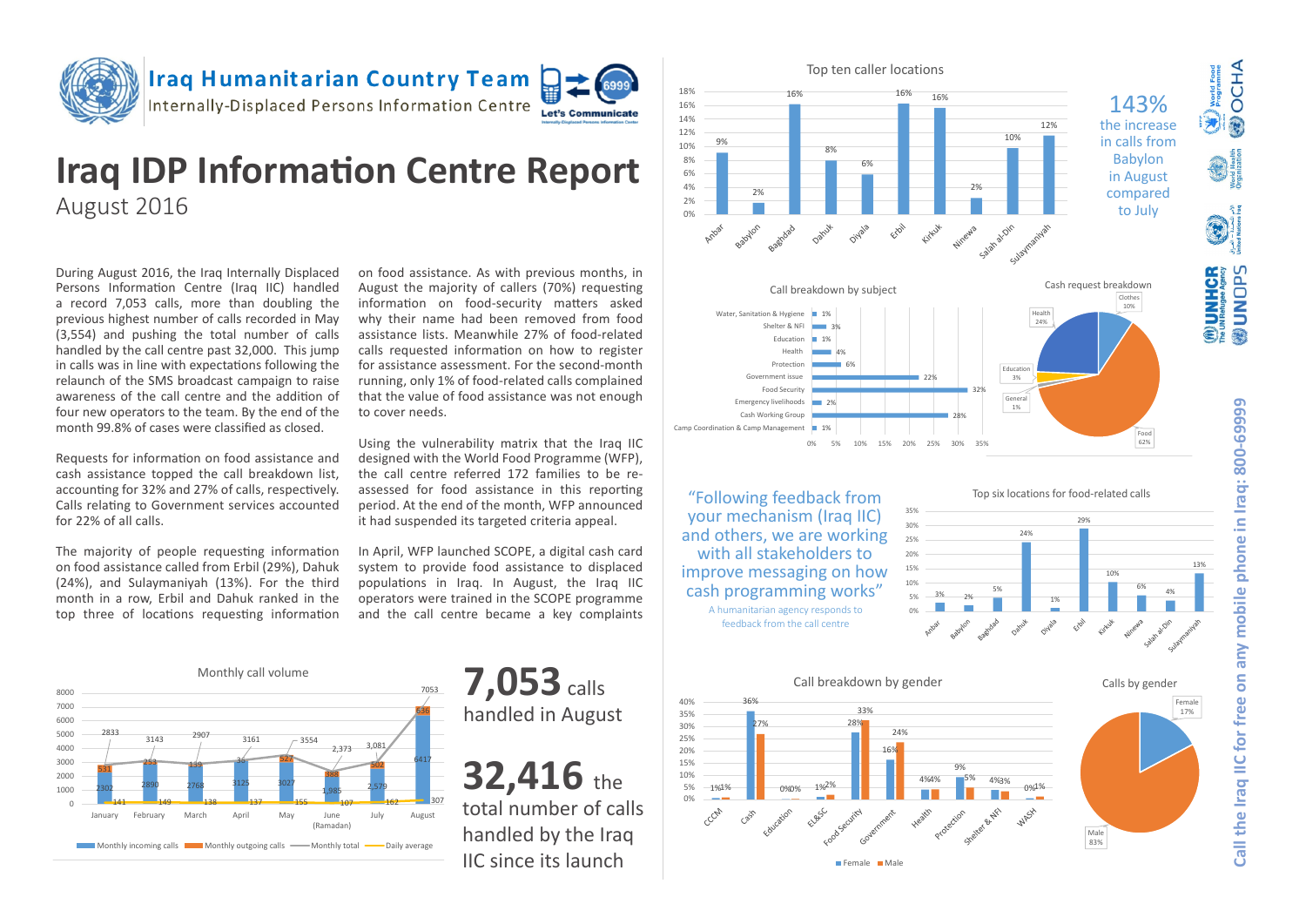

### **Iraq Humanitarian Country Team** Internally-Displaced Persons Information Centre



# **Iraq IDP Information Centre Report** August 2016

During August 2016, the Iraq Internally Displaced Persons Information Centre (Iraq IIC) handled a record 7,053 calls, more than doubling the previous highest number of calls recorded in May (3,554) and pushing the total number of calls handled by the call centre past 32,000. This jump in calls was in line with expectations following the relaunch of the SMS broadcast campaign to raise awareness of the call centre and the addition of four new operators to the team. By the end of the month 99.8% of cases were classified as closed.

Requests for information on food assistance and cash assistance topped the call breakdown list, accounting for 32% and 27% of calls, respectively. Calls relating to Government services accounted for 22% of all calls.

The majority of people requesting information on food assistance called from Erbil (29%), Dahuk (24%), and Sulaymaniyah (13%). For the third month in a row, Erbil and Dahuk ranked in the top three of locations requesting information

on food assistance. As with previous months, in August the majority of callers (70%) requesting information on food-security matters asked why their name had been removed from food assistance lists. Meanwhile 27% of food-related calls requested information on how to register for assistance assessment. For the second-month running, only 1% of food-related calls complained that the value of food assistance was not enough to cover needs.

Using the vulnerability matrix that the Iraq IIC designed with the World Food Programme (WFP), the call centre referred 172 families to be reassessed for food assistance in this reporting period. At the end of the month, WFP announced it had suspended its targeted criteria appeal.

In April, WFP launched SCOPE, a digital cash card system to provide food assistance to displaced populations in Iraq. In August, the Iraq IIC operators were trained in the SCOPE programme and the call centre became a key complaints





handled by the Iraq IIC since its launch





"Following feedback from your mechanism (Iraq IIC) and others, we are working with all stakeholders to improve messaging on how cash programming works" A humanitarian agency responds to feedback from the call centre





Top six locations for food-related calls



World Food<br>Programme OCHA

 $\widehat{\blacklozenge}$ 

 $\binom{m}{k}$  UNHCR **SdONDR®**